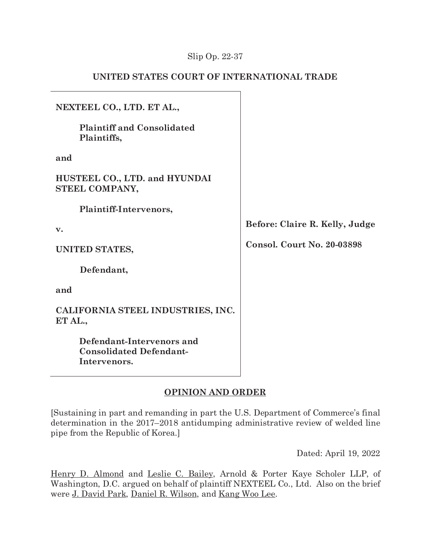# Slip Op. 22-37

# **UNITED STATES COURT OF INTERNATIONAL TRADE**

| NEXTEEL CO., LTD. ET AL.,                                                   |                                |
|-----------------------------------------------------------------------------|--------------------------------|
| <b>Plaintiff and Consolidated</b><br>Plaintiffs,                            |                                |
| and                                                                         |                                |
| HUSTEEL CO., LTD. and HYUNDAI<br>STEEL COMPANY,                             |                                |
| Plaintiff-Intervenors,                                                      |                                |
| $\mathbf{v}$ .                                                              | Before: Claire R. Kelly, Judge |
| UNITED STATES,                                                              | Consol. Court No. 20-03898     |
| Defendant,                                                                  |                                |
| and                                                                         |                                |
| CALIFORNIA STEEL INDUSTRIES, INC.<br>ET AL.,                                |                                |
| Defendant-Intervenors and<br><b>Consolidated Defendant-</b><br>Intervenors. |                                |

# **OPINION AND ORDER**

[Sustaining in part and remanding in part the U.S. Department of Commerce's final determination in the 2017–2018 antidumping administrative review of welded line pipe from the Republic of Korea.]

Dated: April 19, 2022

Henry D. Almond and Leslie C. Bailey, Arnold & Porter Kaye Scholer LLP, of Washington, D.C. argued on behalf of plaintiff NEXTEEL Co., Ltd. Also on the brief were J. David Park, Daniel R. Wilson, and Kang Woo Lee.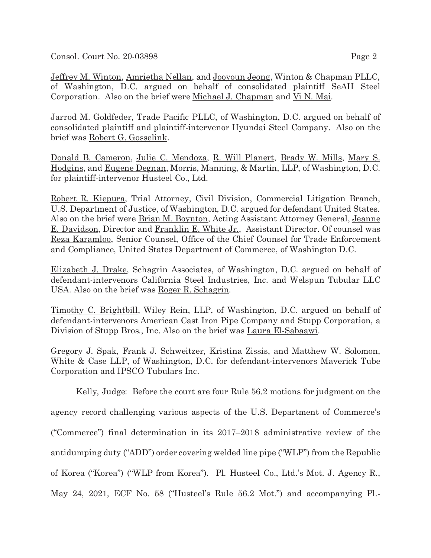Consol. Court No. 20-03898 Page 2

Jeffrey M. Winton, Amrietha Nellan, and Jooyoun Jeong, Winton & Chapman PLLC, of Washington, D.C. argued on behalf of consolidated plaintiff SeAH Steel Corporation. Also on the brief were Michael J. Chapman and Vi N. Mai.

Jarrod M. Goldfeder, Trade Pacific PLLC, of Washington, D.C. argued on behalf of consolidated plaintiff and plaintiff-intervenor Hyundai Steel Company. Also on the brief was Robert G. Gosselink.

Donald B. Cameron, Julie C. Mendoza, R. Will Planert, Brady W. Mills, Mary S. Hodgins, and Eugene Degnan, Morris, Manning, & Martin, LLP, of Washington, D.C. for plaintiff-intervenor Husteel Co., Ltd.

Robert R. Kiepura, Trial Attorney, Civil Division, Commercial Litigation Branch, U.S. Department of Justice, of Washington, D.C. argued for defendant United States. Also on the brief were Brian M. Boynton, Acting Assistant Attorney General, Jeanne E. Davidson, Director and Franklin E. White Jr., Assistant Director. Of counsel was Reza Karamloo, Senior Counsel, Office of the Chief Counsel for Trade Enforcement and Compliance, United States Department of Commerce, of Washington D.C.

Elizabeth J. Drake, Schagrin Associates, of Washington, D.C. argued on behalf of defendant-intervenors California Steel Industries, Inc. and Welspun Tubular LLC USA. Also on the brief was Roger R. Schagrin.

Timothy C. Brightbill, Wiley Rein, LLP, of Washington, D.C. argued on behalf of defendant-intervenors American Cast Iron Pipe Company and Stupp Corporation, a Division of Stupp Bros., Inc. Also on the brief was Laura El-Sabaawi.

Gregory J. Spak, Frank J. Schweitzer, Kristina Zissis, and Matthew W. Solomon, White & Case LLP, of Washington, D.C. for defendant-intervenors Maverick Tube Corporation and IPSCO Tubulars Inc.

Kelly, Judge: Before the court are four Rule 56.2 motions for judgment on the agency record challenging various aspects of the U.S. Department of Commerce's ("Commerce") final determination in its 2017–2018 administrative review of the antidumping duty ("ADD") order covering welded line pipe ("WLP") from the Republic of Korea ("Korea") ("WLP from Korea"). Pl. Husteel Co., Ltd.'s Mot. J. Agency R., May 24, 2021, ECF No. 58 ("Husteel's Rule 56.2 Mot.") and accompanying Pl.-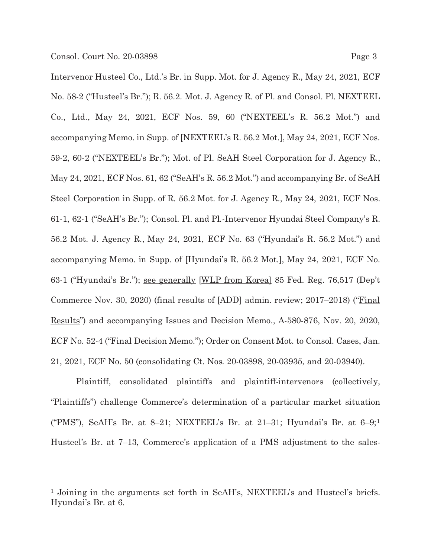Intervenor Husteel Co., Ltd.'s Br. in Supp. Mot. for J. Agency R., May 24, 2021, ECF No. 58-2 ("Husteel's Br."); R. 56.2. Mot. J. Agency R. of Pl. and Consol. Pl. NEXTEEL Co., Ltd., May 24, 2021, ECF Nos. 59, 60 ("NEXTEEL's R. 56.2 Mot.") and accompanying Memo. in Supp. of [NEXTEEL's R. 56.2 Mot.], May 24, 2021, ECF Nos. 59-2, 60-2 ("NEXTEEL's Br."); Mot. of Pl. SeAH Steel Corporation for J. Agency R., May 24, 2021, ECF Nos. 61, 62 ("SeAH's R. 56.2 Mot.") and accompanying Br. of SeAH Steel Corporation in Supp. of R. 56.2 Mot. for J. Agency R., May 24, 2021, ECF Nos. 61-1, 62-1 ("SeAH's Br."); Consol. Pl. and Pl.-Intervenor Hyundai Steel Company's R. 56.2 Mot. J. Agency R., May 24, 2021, ECF No. 63 ("Hyundai's R. 56.2 Mot.") and accompanying Memo. in Supp. of [Hyundai's R. 56.2 Mot.], May 24, 2021, ECF No. 63-1 ("Hyundai's Br."); see generally [WLP from Korea] 85 Fed. Reg. 76,517 (Dep't Commerce Nov. 30, 2020) (final results of [ADD] admin. review; 2017–2018) ("Final Results") and accompanying Issues and Decision Memo., A-580-876, Nov. 20, 2020, ECF No. 52-4 ("Final Decision Memo."); Order on Consent Mot. to Consol. Cases, Jan. 21, 2021, ECF No. 50 (consolidating Ct. Nos. 20-03898, 20-03935, and 20-03940).

Plaintiff, consolidated plaintiffs and plaintiff-intervenors (collectively, "Plaintiffs") challenge Commerce's determination of a particular market situation ("PMS"), SeAH's Br. at 8–21; NEXTEEL's Br. at  $21-31$ ; Hyundai's Br. at  $6-9;1$ Husteel's Br. at 7–13, Commerce's application of a PMS adjustment to the sales-

<sup>1</sup> Joining in the arguments set forth in SeAH's, NEXTEEL's and Husteel's briefs. Hyundai's Br. at 6.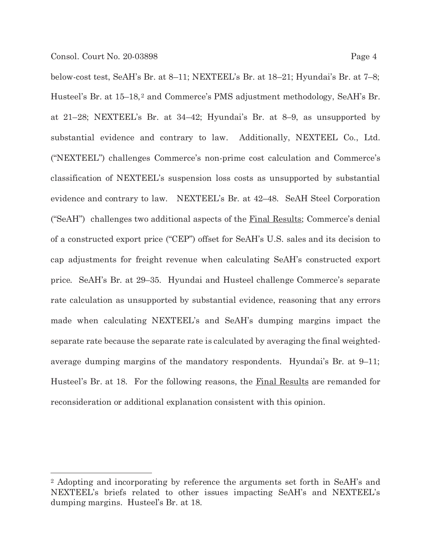below-cost test, SeAH's Br. at 8–11; NEXTEEL's Br. at 18–21; Hyundai's Br. at 7–8; Husteel's Br. at 15–18,<sup>2</sup> and Commerce's PMS adjustment methodology, SeAH's Br. at 21–28; NEXTEEL's Br. at 34–42; Hyundai's Br. at 8–9, as unsupported by substantial evidence and contrary to law. Additionally, NEXTEEL Co., Ltd. ("NEXTEEL") challenges Commerce's non-prime cost calculation and Commerce's classification of NEXTEEL's suspension loss costs as unsupported by substantial evidence and contrary to law. NEXTEEL's Br. at 42–48. SeAH Steel Corporation ("SeAH") challenges two additional aspects of the  $Final$  Results; Commerce's denial of a constructed export price ("CEP") offset for SeAH's U.S. sales and its decision to cap adjustments for freight revenue when calculating SeAH's constructed export price. SeAH's Br. at 29–35. Hyundai and Husteel challenge Commerce's separate rate calculation as unsupported by substantial evidence, reasoning that any errors made when calculating NEXTEEL's and SeAH's dumping margins impact the separate rate because the separate rate is calculated by averaging the final weightedaverage dumping margins of the mandatory respondents. Hyundai's Br. at 9–11; Husteel's Br. at 18. For the following reasons, the Final Results are remanded for reconsideration or additional explanation consistent with this opinion.

<sup>2</sup> Adopting and incorporating by reference the arguments set forth in SeAH's and NEXTEEL's briefs related to other issues impacting SeAH's and NEXTEEL's dumping margins. Husteel's Br. at 18.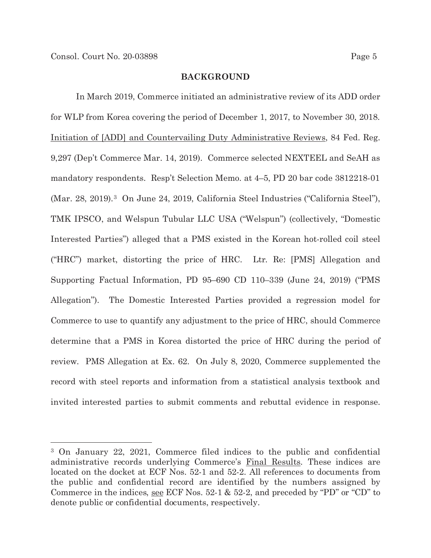### **BACKGROUND**

In March 2019, Commerce initiated an administrative review of its ADD order for WLP from Korea covering the period of December 1, 2017, to November 30, 2018. Initiation of [ADD] and Countervailing Duty Administrative Reviews, 84 Fed. Reg. 9,297 (Dep't Commerce Mar. 14, 2019). Commerce selected NEXTEEL and SeAH as mandatory respondents. Resp't Selection Memo. at 4–5, PD 20 bar code 3812218-01 (Mar. 28, 2019).3 On June 24, 2019, California Steel Industries ("California Steel"), TMK IPSCO, and Welspun Tubular LLC USA ("Welspun") (collectively, "Domestic Interested Parties") alleged that a PMS existed in the Korean hot-rolled coil steel ("HRC") market, distorting the price of HRC. Ltr. Re: [PMS] Allegation and Supporting Factual Information, PD 95–690 CD 110–339 (June 24, 2019) ("PMS Allegation"). The Domestic Interested Parties provided a regression model for Commerce to use to quantify any adjustment to the price of HRC, should Commerce determine that a PMS in Korea distorted the price of HRC during the period of review. PMS Allegation at Ex. 62. On July 8, 2020, Commerce supplemented the record with steel reports and information from a statistical analysis textbook and invited interested parties to submit comments and rebuttal evidence in response.

<sup>3</sup> On January 22, 2021, Commerce filed indices to the public and confidential administrative records underlying Commerce's Final Results. These indices are located on the docket at ECF Nos. 52-1 and 52-2. All references to documents from the public and confidential record are identified by the numbers assigned by Commerce in the indices, see ECF Nos. 52-1 & 52-2, and preceded by "PD" or "CD" to denote public or confidential documents, respectively.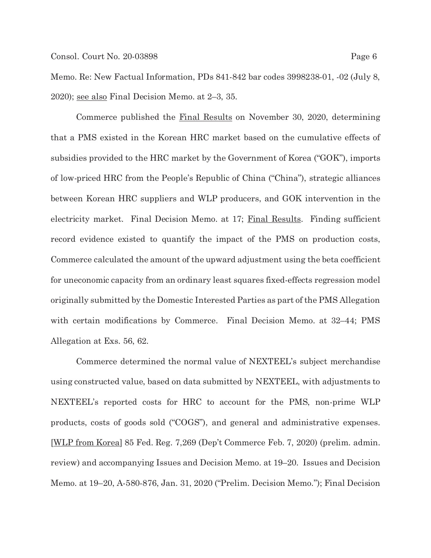Memo. Re: New Factual Information, PDs 841-842 bar codes 3998238-01, -02 (July 8, 2020); see also Final Decision Memo. at 2–3, 35.

Commerce published the Final Results on November 30, 2020, determining that a PMS existed in the Korean HRC market based on the cumulative effects of subsidies provided to the HRC market by the Government of Korea ("GOK"), imports of low-priced HRC from the People's Republic of China ("China"), strategic alliances between Korean HRC suppliers and WLP producers, and GOK intervention in the electricity market. Final Decision Memo. at 17; Final Results. Finding sufficient record evidence existed to quantify the impact of the PMS on production costs, Commerce calculated the amount of the upward adjustment using the beta coefficient for uneconomic capacity from an ordinary least squares fixed-effects regression model originally submitted by the Domestic Interested Parties as part of the PMS Allegation with certain modifications by Commerce. Final Decision Memo. at 32–44; PMS Allegation at Exs. 56, 62.

Commerce determined the normal value of NEXTEEL's subject merchandise using constructed value, based on data submitted by NEXTEEL, with adjustments to NEXTEEL's reported costs for HRC to account for the PMS, non-prime WLP products, costs of goods sold ("COGS"), and general and administrative expenses. [WLP from Korea] 85 Fed. Reg. 7,269 (Dep't Commerce Feb. 7, 2020) (prelim. admin. review) and accompanying Issues and Decision Memo. at 19–20. Issues and Decision Memo. at 19–20, A-580-876, Jan. 31, 2020 ("Prelim. Decision Memo."); Final Decision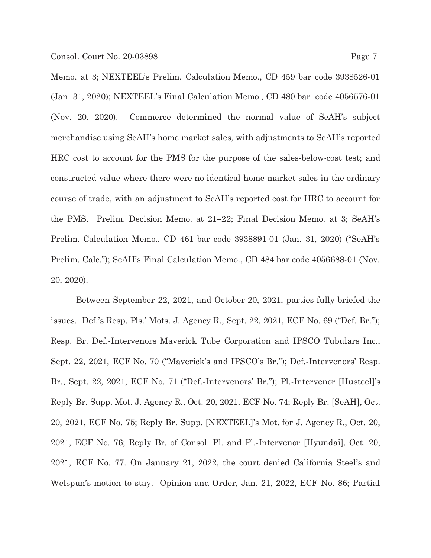Memo. at 3; NEXTEEL's Prelim. Calculation Memo., CD 459 bar code 3938526-01 (Jan. 31, 2020); NEXTEEL's Final Calculation Memo., CD 480 bar code 4056576-01 (Nov. 20, 2020). Commerce determined the normal value of SeAH's subject merchandise using SeAH's home market sales, with adjustments to SeAH's reported HRC cost to account for the PMS for the purpose of the sales-below-cost test; and constructed value where there were no identical home market sales in the ordinary course of trade, with an adjustment to SeAH's reported cost for HRC to account for the PMS. Prelim. Decision Memo. at 21–22; Final Decision Memo. at 3; SeAH's Prelim. Calculation Memo., CD 461 bar code 3938891-01 (Jan. 31, 2020) ("SeAH's Prelim. Calc."); SeAH's Final Calculation Memo., CD 484 bar code 4056688-01 (Nov. 20, 2020).

Between September 22, 2021, and October 20, 2021, parties fully briefed the issues. Def.'s Resp. Pls.' Mots. J. Agency R., Sept. 22, 2021, ECF No. 69 ("Def. Br."); Resp. Br. Def.-Intervenors Maverick Tube Corporation and IPSCO Tubulars Inc., Sept. 22, 2021, ECF No. 70 ("Maverick's and IPSCO's Br."); Def.-Intervenors' Resp. Br., Sept. 22, 2021, ECF No. 71 ("Def.-Intervenors' Br."); Pl.-Intervenor [Husteel]'s Reply Br. Supp. Mot. J. Agency R., Oct. 20, 2021, ECF No. 74; Reply Br. [SeAH], Oct. 20, 2021, ECF No. 75; Reply Br. Supp. [NEXTEEL]'s Mot. for J. Agency R., Oct. 20, 2021, ECF No. 76; Reply Br. of Consol. Pl. and Pl.-Intervenor [Hyundai], Oct. 20, 2021, ECF No. 77. On January 21, 2022, the court denied California Steel's and Welspun's motion to stay. Opinion and Order, Jan. 21, 2022, ECF No. 86; Partial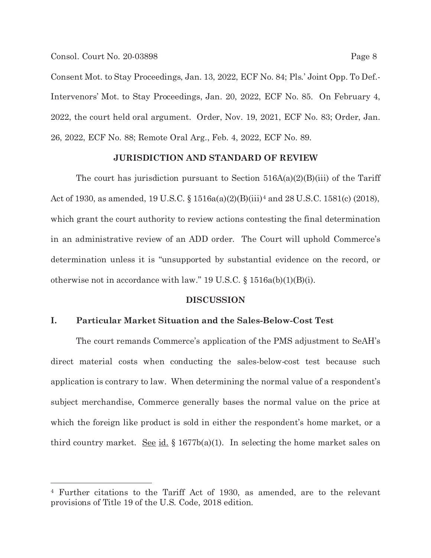Consent Mot. to Stay Proceedings, Jan. 13, 2022, ECF No. 84; Pls.' Joint Opp. To Def.- Intervenors' Mot. to Stay Proceedings, Jan. 20, 2022, ECF No. 85. On February 4, 2022, the court held oral argument. Order, Nov. 19, 2021, ECF No. 83; Order, Jan. 26, 2022, ECF No. 88; Remote Oral Arg., Feb. 4, 2022, ECF No. 89.

## **JURISDICTION AND STANDARD OF REVIEW**

The court has jurisdiction pursuant to Section  $516A(a)(2)(B(iii)$  of the Tariff Act of 1930, as amended, 19 U.S.C. § 1516a(a)(2)(B)(iii)<sup>4</sup> and 28 U.S.C. 1581(c) (2018), which grant the court authority to review actions contesting the final determination in an administrative review of an ADD order. The Court will uphold Commerce's determination unless it is "unsupported by substantial evidence on the record, or otherwise not in accordance with law." 19 U.S.C. § 1516a(b)(1)(B)(i).

## **DISCUSSION**

### **I. Particular Market Situation and the Sales-Below-Cost Test**

 The court remands Commerce's application of the PMS adjustment to SeAH's direct material costs when conducting the sales-below-cost test because such application is contrary to law. When determining the normal value of a respondent's subject merchandise, Commerce generally bases the normal value on the price at which the foreign like product is sold in either the respondent's home market, or a third country market. <u>See id.</u> § 1677b(a)(1). In selecting the home market sales on

<sup>4</sup> Further citations to the Tariff Act of 1930, as amended, are to the relevant provisions of Title 19 of the U.S. Code, 2018 edition.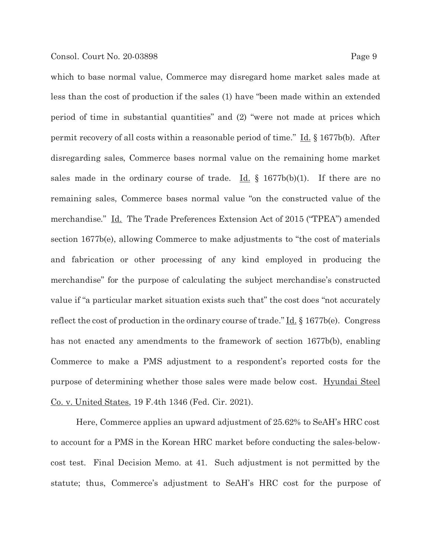which to base normal value, Commerce may disregard home market sales made at less than the cost of production if the sales (1) have "been made within an extended period of time in substantial quantities" and (2) "were not made at prices which permit recovery of all costs within a reasonable period of time."  $\underline{Id}$ , § 1677b(b). After disregarding sales, Commerce bases normal value on the remaining home market sales made in the ordinary course of trade. <u>Id.</u>  $\oint$  1677b(b)(1). If there are no remaining sales, Commerce bases normal value "on the constructed value of the merchandise." Id. The Trade Preferences Extension Act of 2015 ("TPEA") amended section 1677b(e), allowing Commerce to make adjustments to "the cost of materials and fabrication or other processing of any kind employed in producing the merchandise" for the purpose of calculating the subject merchandise's constructed value if "a particular market situation exists such that" the cost does "not accurately reflect the cost of production in the ordinary course of trade."  $\underline{Id}$ , § 1677b(e). Congress has not enacted any amendments to the framework of section 1677b(b), enabling Commerce to make a PMS adjustment to a respondent's reported costs for the purpose of determining whether those sales were made below cost. Hyundai Steel Co. v. United States, 19 F.4th 1346 (Fed. Cir. 2021).

 Here, Commerce applies an upward adjustment of 25.62% to SeAH's HRC cost to account for a PMS in the Korean HRC market before conducting the sales-belowcost test. Final Decision Memo. at 41. Such adjustment is not permitted by the statute; thus, Commerce's adjustment to SeAH's HRC cost for the purpose of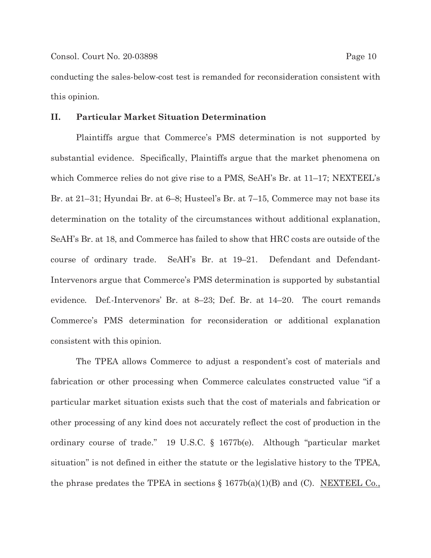conducting the sales-below-cost test is remanded for reconsideration consistent with this opinion.

### **II. Particular Market Situation Determination**

Plaintiffs argue that Commerce's PMS determination is not supported by substantial evidence. Specifically, Plaintiffs argue that the market phenomena on which Commerce relies do not give rise to a PMS, SeAH's Br. at 11–17; NEXTEEL's Br. at 21–31; Hyundai Br. at 6–8; Husteel's Br. at 7–15, Commerce may not base its determination on the totality of the circumstances without additional explanation, SeAH's Br. at 18, and Commerce has failed to show that HRC costs are outside of the course of ordinary trade. SeAH's Br. at 19–21. Defendant and Defendant-Intervenors argue that Commerce's PMS determination is supported by substantial evidence. Def.-Intervenors' Br. at 8–23; Def. Br. at 14–20. The court remands Commerce's PMS determination for reconsideration or additional explanation consistent with this opinion.

The TPEA allows Commerce to adjust a respondent's cost of materials and fabrication or other processing when Commerce calculates constructed value "if a particular market situation exists such that the cost of materials and fabrication or other processing of any kind does not accurately reflect the cost of production in the ordinary course of trade." 19 U.S.C. § 1677b(e). Although "particular market situation" is not defined in either the statute or the legislative history to the TPEA, the phrase predates the TPEA in sections  $\S 1677b(a)(1)(B)$  and (C). NEXTEEL Co.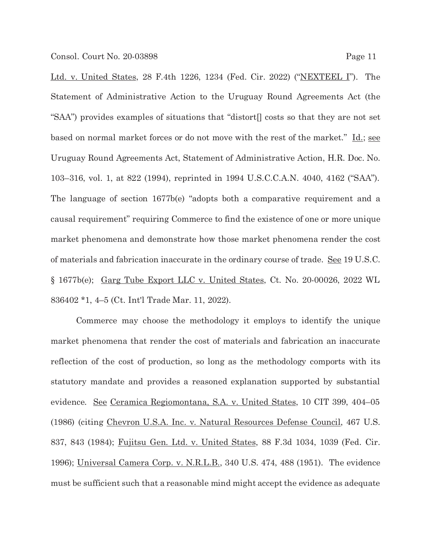Ltd. v. United States, 28 F.4th 1226, 1234 (Fed. Cir. 2022) ("NEXTEEL I"). The Statement of Administrative Action to the Uruguay Round Agreements Act (the "SAA") provides examples of situations that "distort[] costs so that they are not set based on normal market forces or do not move with the rest of the market." Id.; see Uruguay Round Agreements Act, Statement of Administrative Action, H.R. Doc. No. 103–316, vol. 1, at 822 (1994), reprinted in 1994 U.S.C.C.A.N. 4040, 4162 ("SAA"). The language of section 1677b(e) "adopts both a comparative requirement and a causal requirement" requiring Commerce to find the existence of one or more unique market phenomena and demonstrate how those market phenomena render the cost of materials and fabrication inaccurate in the ordinary course of trade. See 19 U.S.C. § 1677b(e); Garg Tube Export LLC v. United States, Ct. No. 20-00026, 2022 WL 836402 \*1, 4–5 (Ct. Int'l Trade Mar. 11, 2022).

Commerce may choose the methodology it employs to identify the unique market phenomena that render the cost of materials and fabrication an inaccurate reflection of the cost of production, so long as the methodology comports with its statutory mandate and provides a reasoned explanation supported by substantial evidence. See Ceramica Regiomontana, S.A. v. United States, 10 CIT 399, 404–05 (1986) (citing Chevron U.S.A. Inc. v. Natural Resources Defense Council, 467 U.S. 837, 843 (1984); Fujitsu Gen. Ltd. v. United States, 88 F.3d 1034, 1039 (Fed. Cir. 1996); Universal Camera Corp. v. N.R.L.B., 340 U.S. 474, 488 (1951). The evidence must be sufficient such that a reasonable mind might accept the evidence as adequate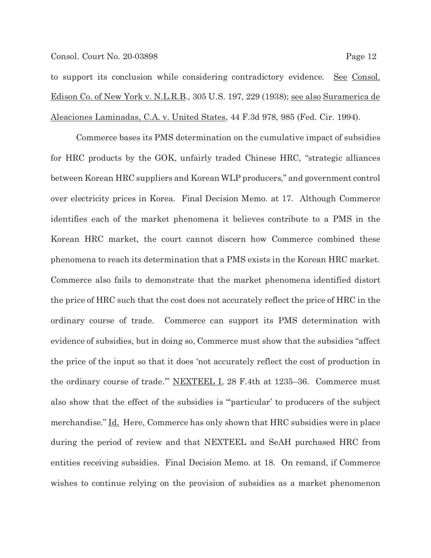to support its conclusion while considering contradictory evidence. See Consol. Edison Co. of New York v. N.L.R.B., 305 U.S. 197, 229 (1938); see also Suramerica de Aleaciones Laminadas, C.A. v. United States, 44 F.3d 978, 985 (Fed. Cir. 1994).

 Commerce bases its PMS determination on the cumulative impact of subsidies for HRC products by the GOK, unfairly traded Chinese HRC, "strategic alliances between Korean HRC suppliers and Korean WLP producers," and government control over electricity prices in Korea. Final Decision Memo. at 17. Although Commerce identifies each of the market phenomena it believes contribute to a PMS in the Korean HRC market, the court cannot discern how Commerce combined these phenomena to reach its determination that a PMS exists in the Korean HRC market. Commerce also fails to demonstrate that the market phenomena identified distort the price of HRC such that the cost does not accurately reflect the price of HRC in the ordinary course of trade. Commerce can support its PMS determination with evidence of subsidies, but in doing so, Commerce must show that the subsidies "affect the price of the input so that it does 'not accurately reflect the cost of production in the ordinary course of trade."" NEXTEEL I, 28 F.4th at 1235-36. Commerce must also show that the effect of the subsidies is "'particular' to producers of the subject merchandise." Id. Here, Commerce has only shown that HRC subsidies were in place during the period of review and that NEXTEEL and SeAH purchased HRC from entities receiving subsidies. Final Decision Memo. at 18. On remand, if Commerce wishes to continue relying on the provision of subsidies as a market phenomenon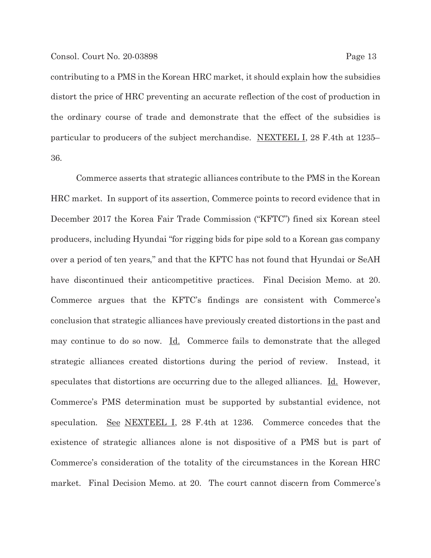#### Consol. Court No. 20-03898 Page 13

contributing to a PMS in the Korean HRC market, it should explain how the subsidies distort the price of HRC preventing an accurate reflection of the cost of production in the ordinary course of trade and demonstrate that the effect of the subsidies is particular to producers of the subject merchandise. NEXTEEL I, 28 F.4th at 1235– 36.

 Commerce asserts that strategic alliances contribute to the PMS in the Korean HRC market. In support of its assertion, Commerce points to record evidence that in December 2017 the Korea Fair Trade Commission ("KFTC") fined six Korean steel producers, including Hyundai "for rigging bids for pipe sold to a Korean gas company over a period of ten years," and that the KFTC has not found that Hyundai or SeAH have discontinued their anticompetitive practices. Final Decision Memo. at 20. Commerce argues that the KFTC's findings are consistent with Commerce's conclusion that strategic alliances have previously created distortions in the past and may continue to do so now. Id. Commerce fails to demonstrate that the alleged strategic alliances created distortions during the period of review. Instead, it speculates that distortions are occurring due to the alleged alliances. Id. However, Commerce's PMS determination must be supported by substantial evidence, not speculation. See NEXTEEL I, 28 F.4th at 1236. Commerce concedes that the existence of strategic alliances alone is not dispositive of a PMS but is part of Commerce's consideration of the totality of the circumstances in the Korean HRC market. Final Decision Memo. at 20. The court cannot discern from Commerce's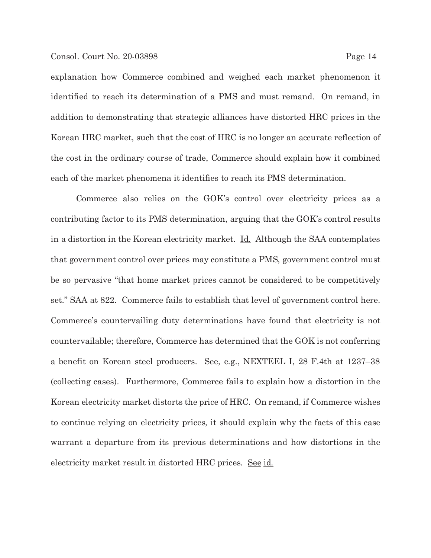#### Consol. Court No. 20-03898 Page 14

explanation how Commerce combined and weighed each market phenomenon it identified to reach its determination of a PMS and must remand. On remand, in addition to demonstrating that strategic alliances have distorted HRC prices in the Korean HRC market, such that the cost of HRC is no longer an accurate reflection of the cost in the ordinary course of trade, Commerce should explain how it combined each of the market phenomena it identifies to reach its PMS determination.

 Commerce also relies on the GOK's control over electricity prices as a contributing factor to its PMS determination, arguing that the GOK's control results in a distortion in the Korean electricity market.  $\underline{Id}$ . Although the SAA contemplates that government control over prices may constitute a PMS, government control must be so pervasive "that home market prices cannot be considered to be competitively set." SAA at 822. Commerce fails to establish that level of government control here. Commerce's countervailing duty determinations have found that electricity is not countervailable; therefore, Commerce has determined that the GOK is not conferring a benefit on Korean steel producers. See, e.g., NEXTEEL I, 28 F.4th at 1237–38 (collecting cases). Furthermore, Commerce fails to explain how a distortion in the Korean electricity market distorts the price of HRC. On remand, if Commerce wishes to continue relying on electricity prices, it should explain why the facts of this case warrant a departure from its previous determinations and how distortions in the electricity market result in distorted HRC prices. See id.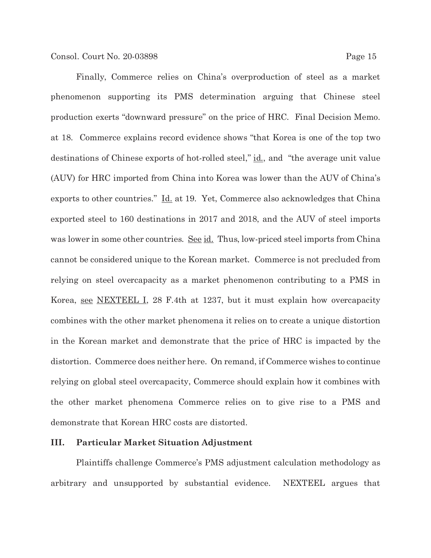phenomenon supporting its PMS determination arguing that Chinese steel production exerts "downward pressure" on the price of HRC. Final Decision Memo. at 18. Commerce explains record evidence shows "that Korea is one of the top two destinations of Chinese exports of hot-rolled steel," <u>id.,</u> and "the average unit value (AUV) for HRC imported from China into Korea was lower than the AUV of China's exports to other countries." Id. at 19. Yet, Commerce also acknowledges that China exported steel to 160 destinations in 2017 and 2018, and the AUV of steel imports was lower in some other countries. <u>See id.</u> Thus, low-priced steel imports from China cannot be considered unique to the Korean market. Commerce is not precluded from relying on steel overcapacity as a market phenomenon contributing to a PMS in Korea, see NEXTEEL I, 28 F.4th at 1237, but it must explain how overcapacity combines with the other market phenomena it relies on to create a unique distortion in the Korean market and demonstrate that the price of HRC is impacted by the distortion. Commerce does neither here. On remand, if Commerce wishes to continue relying on global steel overcapacity, Commerce should explain how it combines with the other market phenomena Commerce relies on to give rise to a PMS and demonstrate that Korean HRC costs are distorted.

# **III. Particular Market Situation Adjustment**

 Plaintiffs challenge Commerce's PMS adjustment calculation methodology as arbitrary and unsupported by substantial evidence. NEXTEEL argues that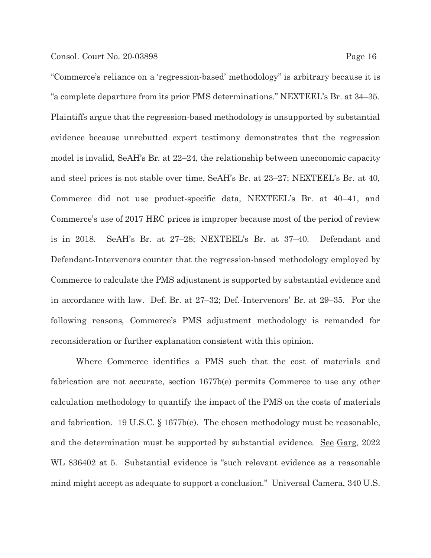"Commerce's reliance on a 'regression-based' methodology" is arbitrary because it is "a complete departure from its prior PMS determinations." NEXTEEL's Br. at 34–35. Plaintiffs argue that the regression-based methodology is unsupported by substantial evidence because unrebutted expert testimony demonstrates that the regression model is invalid, SeAH's Br. at 22–24, the relationship between uneconomic capacity and steel prices is not stable over time, SeAH's Br. at 23–27; NEXTEEL's Br. at 40, Commerce did not use product-specific data, NEXTEEL's Br. at 40–41, and Commerce's use of 2017 HRC prices is improper because most of the period of review is in 2018. SeAH's Br. at 27–28; NEXTEEL's Br. at 37–40. Defendant and Defendant-Intervenors counter that the regression-based methodology employed by Commerce to calculate the PMS adjustment is supported by substantial evidence and in accordance with law. Def. Br. at 27–32; Def.-Intervenors' Br. at 29–35. For the following reasons, Commerce's PMS adjustment methodology is remanded for reconsideration or further explanation consistent with this opinion.

 Where Commerce identifies a PMS such that the cost of materials and fabrication are not accurate, section 1677b(e) permits Commerce to use any other calculation methodology to quantify the impact of the PMS on the costs of materials and fabrication. 19 U.S.C. § 1677b(e). The chosen methodology must be reasonable, and the determination must be supported by substantial evidence. <u>See Garg</u>, 2022 WL 836402 at 5. Substantial evidence is "such relevant evidence as a reasonable mind might accept as adequate to support a conclusion." Universal Camera, 340 U.S.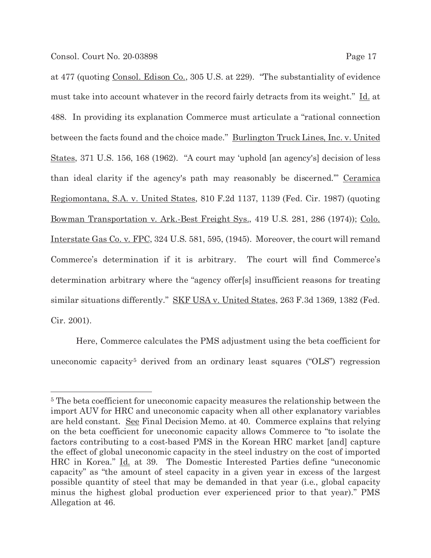at 477 (quoting Consol. Edison Co., 305 U.S. at 229). "The substantiality of evidence must take into account whatever in the record fairly detracts from its weight." Id. at 488. In providing its explanation Commerce must articulate a "rational connection between the facts found and the choice made." Burlington Truck Lines, Inc. v. United States, 371 U.S. 156, 168 (1962). "A court may 'uphold [an agency's] decision of less than ideal clarity if the agency's path may reasonably be discerned." Ceramica Regiomontana, S.A. v. United States, 810 F.2d 1137, 1139 (Fed. Cir. 1987) (quoting Bowman Transportation v. Ark.-Best Freight Sys., 419 U.S. 281, 286 (1974)); Colo. Interstate Gas Co. v. FPC, 324 U.S. 581, 595, (1945). Moreover, the court will remand Commerce's determination if it is arbitrary. The court will find Commerce's determination arbitrary where the "agency offer[s] insufficient reasons for treating similar situations differently." SKF USA v. United States, 263 F.3d 1369, 1382 (Fed. Cir. 2001).

 Here, Commerce calculates the PMS adjustment using the beta coefficient for uneconomic capacity<sup>5</sup> derived from an ordinary least squares ("OLS") regression

<sup>&</sup>lt;sup>5</sup> The beta coefficient for uneconomic capacity measures the relationship between the import AUV for HRC and uneconomic capacity when all other explanatory variables are held constant. See Final Decision Memo. at 40. Commerce explains that relying on the beta coefficient for uneconomic capacity allows Commerce to "to isolate the factors contributing to a cost-based PMS in the Korean HRC market [and] capture the effect of global uneconomic capacity in the steel industry on the cost of imported HRC in Korea." Id. at 39. The Domestic Interested Parties define "uneconomic capacity" as "the amount of steel capacity in a given year in excess of the largest possible quantity of steel that may be demanded in that year (i.e., global capacity minus the highest global production ever experienced prior to that year)." PMS Allegation at 46.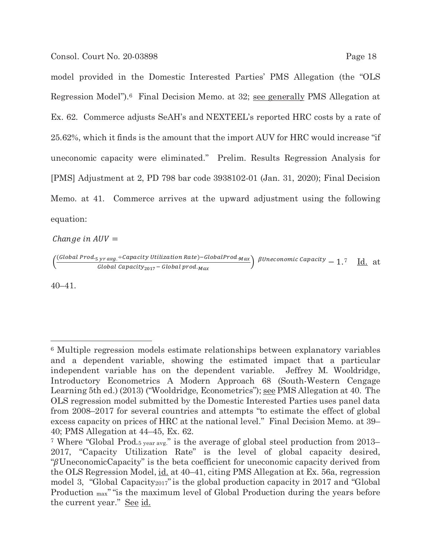model provided in the Domestic Interested Parties' PMS Allegation (the "OLS Regression Model").6 Final Decision Memo. at 32; see generally PMS Allegation at Ex. 62. Commerce adjusts SeAH's and NEXTEEL's reported HRC costs by a rate of 25.62%, which it finds is the amount that the import AUV for HRC would increase "if uneconomic capacity were eliminated." Prelim. Results Regression Analysis for [PMS] Adjustment at 2, PD 798 bar code 3938102-01 (Jan. 31, 2020); Final Decision Memo. at 41. Commerce arrives at the upward adjustment using the following equation:

Change in  $AUV =$ 

 $\left(\frac{(Global \, Prod_5 \, yr \, avg \div Capacity \, Utilization \, Rate) - Global \, Prod_ {Max}}{Global \, Cross \, Grass} \right)$  $\frac{f_3r\,avg. \pm$ Capactty Utilization Kate)—GiobalProd.<sub>Max</sub>  $\beta$ Uneconomic Capacity  $= 1.7$   $\frac{Id.}{Id.}$  at

40–41.

<sup>6</sup> Multiple regression models estimate relationships between explanatory variables and a dependent variable, showing the estimated impact that a particular independent variable has on the dependent variable. Jeffrey M. Wooldridge, Introductory Econometrics A Modern Approach 68 (South-Western Cengage Learning 5th ed.) (2013) ("Wooldridge, Econometrics"); see PMS Allegation at 40. The OLS regression model submitted by the Domestic Interested Parties uses panel data from 2008–2017 for several countries and attempts "to estimate the effect of global excess capacity on prices of HRC at the national level." Final Decision Memo. at 39– 40; PMS Allegation at 44–45, Ex. 62.

<sup>7</sup> Where "Global Prod.5 year avg." is the average of global steel production from 2013– 2017, "Capacity Utilization Rate" is the level of global capacity desired, " $\beta$ UneconomicCapacity" is the beta coefficient for uneconomic capacity derived from the OLS Regression Model, id. at 40–41, citing PMS Allegation at Ex. 56a, regression model 3, "Global Capacity2017"is the global production capacity in 2017 and "Global Production max""is the maximum level of Global Production during the years before the current year." See id.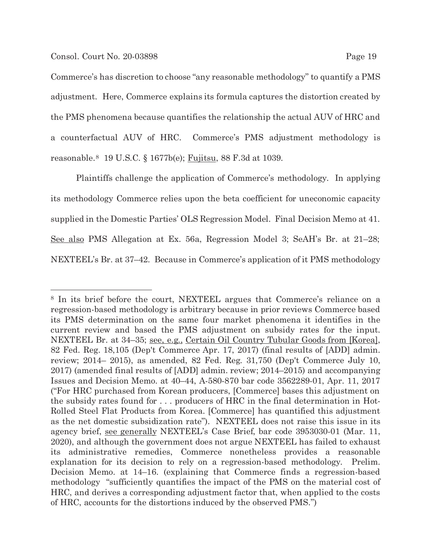Commerce's has discretion to choose "any reasonable methodology" to quantify a PMS adjustment. Here, Commerce explains its formula captures the distortion created by the PMS phenomena because quantifies the relationship the actual AUV of HRC and a counterfactual AUV of HRC. Commerce's PMS adjustment methodology is reasonable.8 19 U.S.C. § 1677b(e); Fujitsu, 88 F.3d at 1039.

Plaintiffs challenge the application of Commerce's methodology. In applying its methodology Commerce relies upon the beta coefficient for uneconomic capacity supplied in the Domestic Parties' OLS Regression Model. Final Decision Memo at 41. See also PMS Allegation at Ex. 56a, Regression Model 3; SeAH's Br. at 21–28; NEXTEEL's Br. at 37–42. Because in Commerce's application of it PMS methodology

<sup>8</sup> In its brief before the court, NEXTEEL argues that Commerce's reliance on a regression-based methodology is arbitrary because in prior reviews Commerce based its PMS determination on the same four market phenomena it identifies in the current review and based the PMS adjustment on subsidy rates for the input. NEXTEEL Br. at 34–35; see, e.g., Certain Oil Country Tubular Goods from [Korea], 82 Fed. Reg. 18,105 (Dep't Commerce Apr. 17, 2017) (final results of [ADD] admin. review; 2014– 2015), as amended, 82 Fed. Reg. 31,750 (Dep't Commerce July 10, 2017) (amended final results of [ADD] admin. review; 2014–2015) and accompanying Issues and Decision Memo. at 40–44, A-580-870 bar code 3562289-01, Apr. 11, 2017 ("For HRC purchased from Korean producers, [Commerce] bases this adjustment on the subsidy rates found for . . . producers of HRC in the final determination in Hot-Rolled Steel Flat Products from Korea. [Commerce] has quantified this adjustment as the net domestic subsidization rate"). NEXTEEL does not raise this issue in its agency brief, see generally NEXTEEL's Case Brief, bar code 3953030-01 (Mar. 11, 2020), and although the government does not argue NEXTEEL has failed to exhaust its administrative remedies, Commerce nonetheless provides a reasonable explanation for its decision to rely on a regression-based methodology. Prelim. Decision Memo. at 14–16. (explaining that Commerce finds a regression-based methodology "sufficiently quantifies the impact of the PMS on the material cost of HRC, and derives a corresponding adjustment factor that, when applied to the costs of HRC, accounts for the distortions induced by the observed PMS.")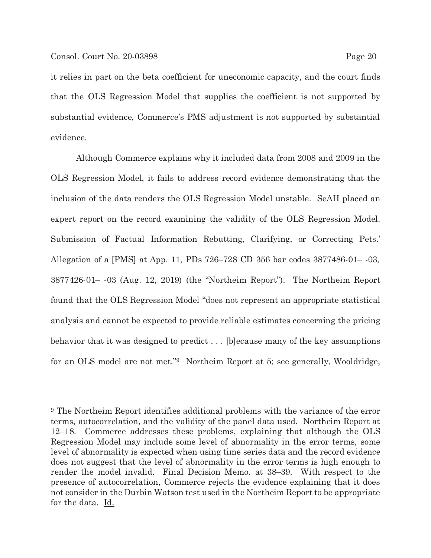it relies in part on the beta coefficient for uneconomic capacity, and the court finds that the OLS Regression Model that supplies the coefficient is not supported by substantial evidence, Commerce's PMS adjustment is not supported by substantial evidence.

 Although Commerce explains why it included data from 2008 and 2009 in the OLS Regression Model, it fails to address record evidence demonstrating that the inclusion of the data renders the OLS Regression Model unstable. SeAH placed an expert report on the record examining the validity of the OLS Regression Model. Submission of Factual Information Rebutting, Clarifying, or Correcting Pets.' Allegation of a [PMS] at App. 11, PDs 726–728 CD 356 bar codes 3877486-01– -03, 3877426-01– -03 (Aug. 12, 2019) (the "Northeim Report"). The Northeim Report found that the OLS Regression Model "does not represent an appropriate statistical analysis and cannot be expected to provide reliable estimates concerning the pricing behavior that it was designed to predict . . . [b]ecause many of the key assumptions for an OLS model are not met."9 Northeim Report at 5; see generally, Wooldridge,

<sup>9</sup> The Northeim Report identifies additional problems with the variance of the error terms, autocorrelation, and the validity of the panel data used. Northeim Report at 12–18. Commerce addresses these problems, explaining that although the OLS Regression Model may include some level of abnormality in the error terms, some level of abnormality is expected when using time series data and the record evidence does not suggest that the level of abnormality in the error terms is high enough to render the model invalid. Final Decision Memo. at 38–39. With respect to the presence of autocorrelation, Commerce rejects the evidence explaining that it does not consider in the Durbin Watson test used in the Northeim Report to be appropriate for the data. <u>Id.</u>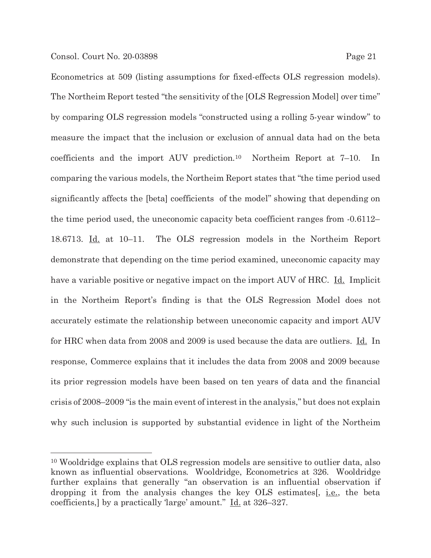Econometrics at 509 (listing assumptions for fixed-effects OLS regression models). The Northeim Report tested "the sensitivity of the [OLS Regression Model] over time" by comparing OLS regression models "constructed using a rolling 5-year window" to measure the impact that the inclusion or exclusion of annual data had on the beta coefficients and the import AUV prediction.10 Northeim Report at 7–10. In comparing the various models, the Northeim Report states that "the time period used significantly affects the [beta] coefficients of the model" showing that depending on the time period used, the uneconomic capacity beta coefficient ranges from -0.6112– 18.6713. Id. at 10–11. The OLS regression models in the Northeim Report demonstrate that depending on the time period examined, uneconomic capacity may have a variable positive or negative impact on the import AUV of HRC. Id. Implicit in the Northeim Report's finding is that the OLS Regression Model does not accurately estimate the relationship between uneconomic capacity and import AUV for HRC when data from 2008 and 2009 is used because the data are outliers. Id. In response, Commerce explains that it includes the data from 2008 and 2009 because its prior regression models have been based on ten years of data and the financial crisis of 2008–2009 "is the main event of interest in the analysis," but does not explain why such inclusion is supported by substantial evidence in light of the Northeim

<sup>10</sup> Wooldridge explains that OLS regression models are sensitive to outlier data, also known as influential observations. Wooldridge, Econometrics at 326. Wooldridge further explains that generally "an observation is an influential observation if dropping it from the analysis changes the key OLS estimates[, i.e., the beta coefficients,] by a practically 'large' amount." Id. at 326–327.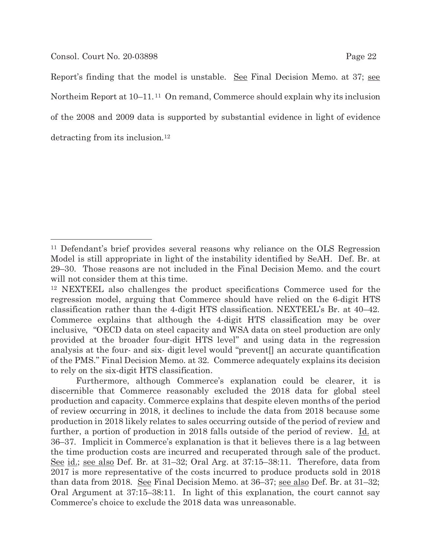Report's finding that the model is unstable. See Final Decision Memo. at 37; see Northeim Report at 10–11. 11 On remand, Commerce should explain why its inclusion of the 2008 and 2009 data is supported by substantial evidence in light of evidence detracting from its inclusion.12

Furthermore, although Commerce's explanation could be clearer, it is discernible that Commerce reasonably excluded the 2018 data for global steel production and capacity. Commerce explains that despite eleven months of the period of review occurring in 2018, it declines to include the data from 2018 because some production in 2018 likely relates to sales occurring outside of the period of review and further, a portion of production in 2018 falls outside of the period of review. Id. at 36–37. Implicit in Commerce's explanation is that it believes there is a lag between the time production costs are incurred and recuperated through sale of the product. See id.; see also Def. Br. at 31–32; Oral Arg. at 37:15–38:11. Therefore, data from 2017 is more representative of the costs incurred to produce products sold in 2018 than data from 2018. See Final Decision Memo. at 36–37; see also Def. Br. at 31–32; Oral Argument at 37:15–38:11. In light of this explanation, the court cannot say Commerce's choice to exclude the 2018 data was unreasonable.

<sup>11</sup> Defendant's brief provides several reasons why reliance on the OLS Regression Model is still appropriate in light of the instability identified by SeAH. Def. Br. at 29–30. Those reasons are not included in the Final Decision Memo. and the court will not consider them at this time.

<sup>12</sup> NEXTEEL also challenges the product specifications Commerce used for the regression model, arguing that Commerce should have relied on the 6-digit HTS classification rather than the 4-digit HTS classification. NEXTEEL's Br. at 40–42. Commerce explains that although the 4-digit HTS classification may be over inclusive, "OECD data on steel capacity and WSA data on steel production are only provided at the broader four-digit HTS level" and using data in the regression analysis at the four- and six- digit level would "prevent[] an accurate quantification of the PMS." Final Decision Memo. at 32. Commerce adequately explains its decision to rely on the six-digit HTS classification.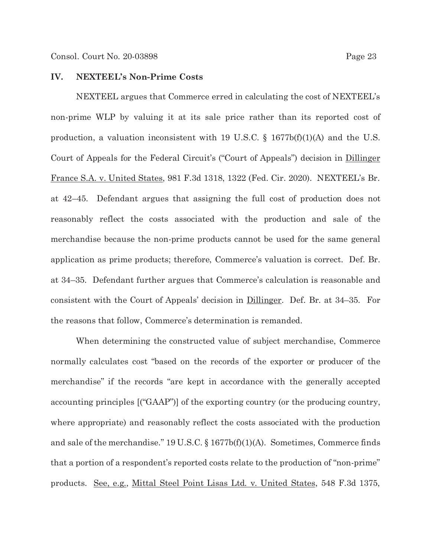### **IV. NEXTEEL's Non-Prime Costs**

NEXTEEL argues that Commerce erred in calculating the cost of NEXTEEL's non-prime WLP by valuing it at its sale price rather than its reported cost of production, a valuation inconsistent with 19 U.S.C.  $\S$  1677b(f)(1)(A) and the U.S. Court of Appeals for the Federal Circuit's ("Court of Appeals") decision in Dillinger France S.A. v. United States, 981 F.3d 1318, 1322 (Fed. Cir. 2020). NEXTEEL's Br. at 42–45. Defendant argues that assigning the full cost of production does not reasonably reflect the costs associated with the production and sale of the merchandise because the non-prime products cannot be used for the same general application as prime products; therefore, Commerce's valuation is correct. Def. Br. at 34–35. Defendant further argues that Commerce's calculation is reasonable and consistent with the Court of Appeals' decision in Dillinger. Def. Br. at 34–35. For the reasons that follow, Commerce's determination is remanded.

 When determining the constructed value of subject merchandise, Commerce normally calculates cost "based on the records of the exporter or producer of the merchandise" if the records "are kept in accordance with the generally accepted accounting principles [("GAAP")] of the exporting country (or the producing country, where appropriate) and reasonably reflect the costs associated with the production and sale of the merchandise." 19 U.S.C. § 1677b(f)(1)(A). Sometimes, Commerce finds that a portion of a respondent's reported costs relate to the production of "non-prime" products. See, e.g., Mittal Steel Point Lisas Ltd. v. United States, 548 F.3d 1375,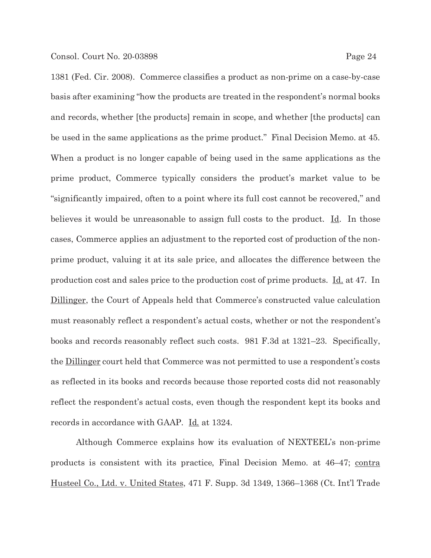1381 (Fed. Cir. 2008). Commerce classifies a product as non-prime on a case-by-case basis after examining "how the products are treated in the respondent's normal books and records, whether [the products] remain in scope, and whether [the products] can be used in the same applications as the prime product." Final Decision Memo. at 45. When a product is no longer capable of being used in the same applications as the prime product, Commerce typically considers the product's market value to be "significantly impaired, often to a point where its full cost cannot be recovered," and believes it would be unreasonable to assign full costs to the product.  $\underline{Id}$ . In those cases, Commerce applies an adjustment to the reported cost of production of the nonprime product, valuing it at its sale price, and allocates the difference between the production cost and sales price to the production cost of prime products. Id. at 47. In Dillinger, the Court of Appeals held that Commerce's constructed value calculation must reasonably reflect a respondent's actual costs, whether or not the respondent's books and records reasonably reflect such costs. 981 F.3d at 1321–23. Specifically, the Dillinger court held that Commerce was not permitted to use a respondent's costs as reflected in its books and records because those reported costs did not reasonably reflect the respondent's actual costs, even though the respondent kept its books and records in accordance with GAAP. Id. at 1324.

Although Commerce explains how its evaluation of NEXTEEL's non-prime products is consistent with its practice, Final Decision Memo. at 46–47; contra Husteel Co., Ltd. v. United States, 471 F. Supp. 3d 1349, 1366–1368 (Ct. Int'l Trade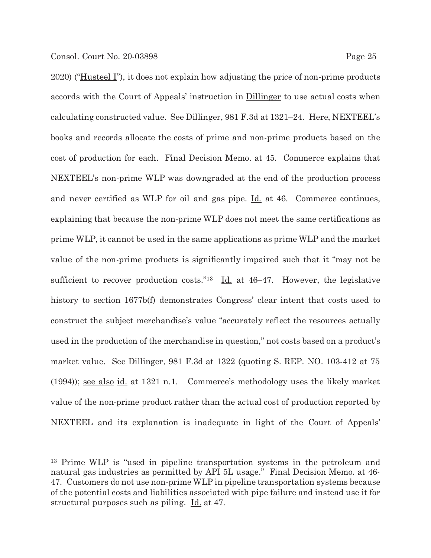2020) ("Husteel I"), it does not explain how adjusting the price of non-prime products accords with the Court of Appeals' instruction in Dillinger to use actual costs when calculating constructed value. See Dillinger, 981 F.3d at 1321–24. Here, NEXTEEL's books and records allocate the costs of prime and non-prime products based on the cost of production for each. Final Decision Memo. at 45. Commerce explains that NEXTEEL's non-prime WLP was downgraded at the end of the production process and never certified as WLP for oil and gas pipe. Id. at 46. Commerce continues, explaining that because the non-prime WLP does not meet the same certifications as prime WLP, it cannot be used in the same applications as prime WLP and the market value of the non-prime products is significantly impaired such that it "may not be sufficient to recover production costs."<sup>13</sup> Id. at  $46-47$ . However, the legislative history to section 1677b(f) demonstrates Congress' clear intent that costs used to construct the subject merchandise's value "accurately reflect the resources actually used in the production of the merchandise in question," not costs based on a product's market value. See Dillinger, 981 F.3d at 1322 (quoting S. REP. NO. 103-412 at 75 (1994)); see also id. at 1321 n.1. Commerce's methodology uses the likely market value of the non-prime product rather than the actual cost of production reported by NEXTEEL and its explanation is inadequate in light of the Court of Appeals'

<sup>13</sup> Prime WLP is "used in pipeline transportation systems in the petroleum and natural gas industries as permitted by API 5L usage." Final Decision Memo. at 46- 47. Customers do not use non-prime WLP in pipeline transportation systems because of the potential costs and liabilities associated with pipe failure and instead use it for structural purposes such as piling. <u>Id.</u> at 47.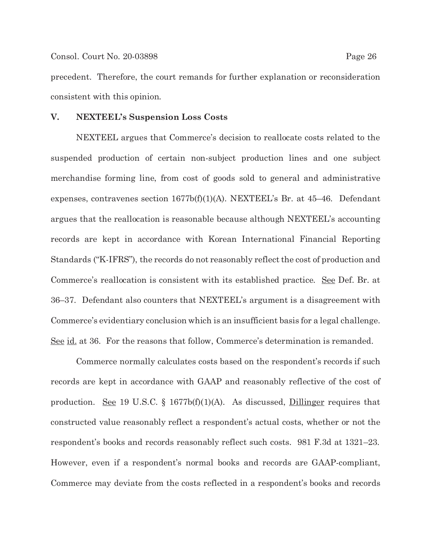precedent. Therefore, the court remands for further explanation or reconsideration consistent with this opinion.

### **V. NEXTEEL's Suspension Loss Costs**

NEXTEEL argues that Commerce's decision to reallocate costs related to the suspended production of certain non-subject production lines and one subject merchandise forming line, from cost of goods sold to general and administrative expenses, contravenes section 1677b(f)(1)(A). NEXTEEL's Br. at 45–46. Defendant argues that the reallocation is reasonable because although NEXTEEL's accounting records are kept in accordance with Korean International Financial Reporting Standards ("K-IFRS"), the records do not reasonably reflect the cost of production and Commerce's reallocation is consistent with its established practice. See Def. Br. at 36–37. Defendant also counters that NEXTEEL's argument is a disagreement with Commerce's evidentiary conclusion which is an insufficient basis for a legal challenge. See id. at 36. For the reasons that follow, Commerce's determination is remanded.

 Commerce normally calculates costs based on the respondent's records if such records are kept in accordance with GAAP and reasonably reflective of the cost of production. <u>See</u> 19 U.S.C. § 1677b(f)(1)(A). As discussed, **Dillinger** requires that constructed value reasonably reflect a respondent's actual costs, whether or not the respondent's books and records reasonably reflect such costs. 981 F.3d at 1321–23. However, even if a respondent's normal books and records are GAAP-compliant, Commerce may deviate from the costs reflected in a respondent's books and records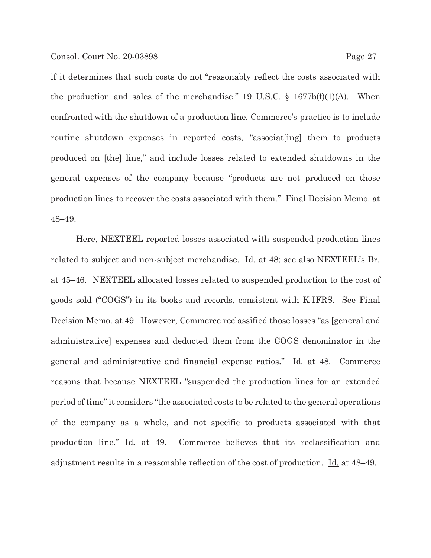if it determines that such costs do not "reasonably reflect the costs associated with the production and sales of the merchandise." 19 U.S.C.  $\S$  1677b(f)(1)(A). When confronted with the shutdown of a production line, Commerce's practice is to include routine shutdown expenses in reported costs, "associat[ing] them to products produced on [the] line," and include losses related to extended shutdowns in the general expenses of the company because "products are not produced on those production lines to recover the costs associated with them." Final Decision Memo. at 48–49.

 Here, NEXTEEL reported losses associated with suspended production lines related to subject and non-subject merchandise. Id. at 48; see also NEXTEEL's Br. at 45–46. NEXTEEL allocated losses related to suspended production to the cost of goods sold ("COGS") in its books and records, consistent with K-IFRS. See Final Decision Memo. at 49. However, Commerce reclassified those losses "as [general and administrative] expenses and deducted them from the COGS denominator in the general and administrative and financial expense ratios." Id. at 48. Commerce reasons that because NEXTEEL "suspended the production lines for an extended period of time" it considers "the associated costs to be related to the general operations of the company as a whole, and not specific to products associated with that production line." Id. at 49. Commerce believes that its reclassification and adjustment results in a reasonable reflection of the cost of production. Id. at 48–49.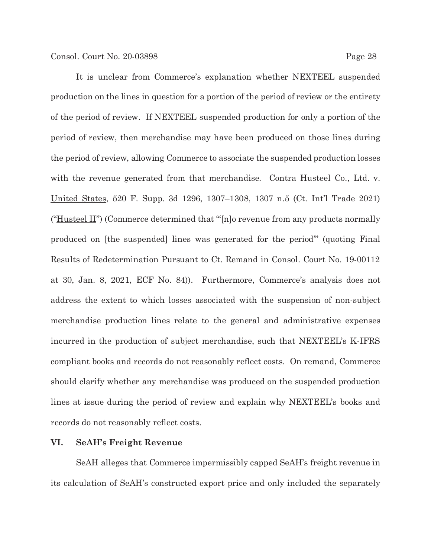It is unclear from Commerce's explanation whether NEXTEEL suspended production on the lines in question for a portion of the period of review or the entirety of the period of review. If NEXTEEL suspended production for only a portion of the period of review, then merchandise may have been produced on those lines during the period of review, allowing Commerce to associate the suspended production losses with the revenue generated from that merchandise. Contra Husteel Co., Ltd. v. United States, 520 F. Supp. 3d 1296, 1307–1308, 1307 n.5 (Ct. Int'l Trade 2021) ("Husteel II") (Commerce determined that "[n]o revenue from any products normally produced on [the suspended] lines was generated for the period'" (quoting Final Results of Redetermination Pursuant to Ct. Remand in Consol. Court No. 19-00112 at 30, Jan. 8, 2021, ECF No. 84)). Furthermore, Commerce's analysis does not address the extent to which losses associated with the suspension of non-subject merchandise production lines relate to the general and administrative expenses incurred in the production of subject merchandise, such that NEXTEEL's K-IFRS compliant books and records do not reasonably reflect costs. On remand, Commerce should clarify whether any merchandise was produced on the suspended production lines at issue during the period of review and explain why NEXTEEL's books and records do not reasonably reflect costs.

### **VI. SeAH's Freight Revenue**

SeAH alleges that Commerce impermissibly capped SeAH's freight revenue in its calculation of SeAH's constructed export price and only included the separately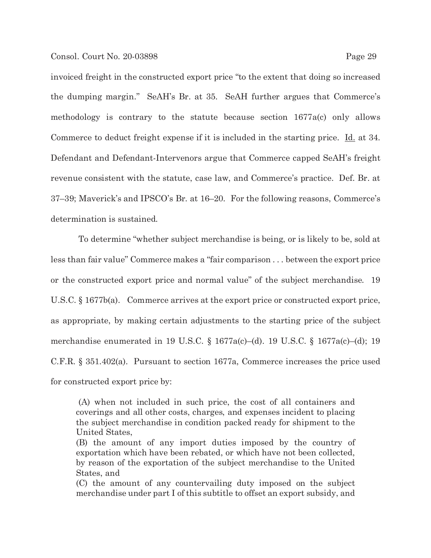invoiced freight in the constructed export price "to the extent that doing so increased the dumping margin." SeAH's Br. at 35. SeAH further argues that Commerce's methodology is contrary to the statute because section 1677a(c) only allows Commerce to deduct freight expense if it is included in the starting price. Id. at 34. Defendant and Defendant-Intervenors argue that Commerce capped SeAH's freight revenue consistent with the statute, case law, and Commerce's practice. Def. Br. at 37–39; Maverick's and IPSCO's Br. at 16–20. For the following reasons, Commerce's determination is sustained.

 To determine "whether subject merchandise is being, or is likely to be, sold at less than fair value" Commerce makes a "fair comparison . . . between the export price or the constructed export price and normal value" of the subject merchandise. 19 U.S.C. § 1677b(a). Commerce arrives at the export price or constructed export price, as appropriate, by making certain adjustments to the starting price of the subject merchandise enumerated in 19 U.S.C. § 1677a(c)–(d). 19 U.S.C. § 1677a(c)–(d); 19 C.F.R. § 351.402(a). Pursuant to section 1677a, Commerce increases the price used for constructed export price by:

 (A) when not included in such price, the cost of all containers and coverings and all other costs, charges, and expenses incident to placing the subject merchandise in condition packed ready for shipment to the United States,

(B) the amount of any import duties imposed by the country of exportation which have been rebated, or which have not been collected, by reason of the exportation of the subject merchandise to the United States, and

(C) the amount of any countervailing duty imposed on the subject merchandise under part I of this subtitle to offset an export subsidy, and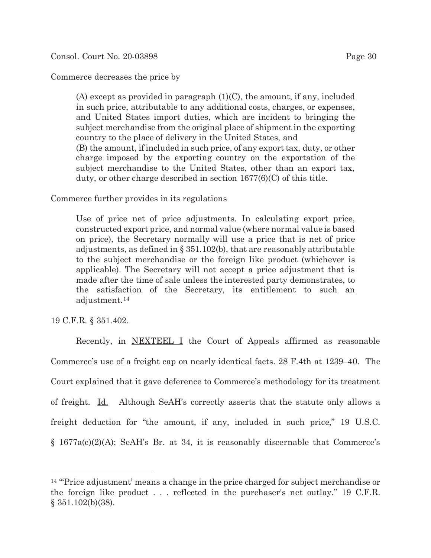# Commerce decreases the price by

(A) except as provided in paragraph  $(1)(C)$ , the amount, if any, included in such price, attributable to any additional costs, charges, or expenses, and United States import duties, which are incident to bringing the subject merchandise from the original place of shipment in the exporting country to the place of delivery in the United States, and

(B) the amount, if included in such price, of any export tax, duty, or other charge imposed by the exporting country on the exportation of the subject merchandise to the United States, other than an export tax, duty, or other charge described in section 1677(6)(C) of this title.

Commerce further provides in its regulations

Use of price net of price adjustments. In calculating export price, constructed export price, and normal value (where normal value is based on price), the Secretary normally will use a price that is net of price adjustments, as defined in § 351.102(b), that are reasonably attributable to the subject merchandise or the foreign like product (whichever is applicable). The Secretary will not accept a price adjustment that is made after the time of sale unless the interested party demonstrates, to the satisfaction of the Secretary, its entitlement to such an adjustment.14

19 C.F.R. § 351.402.

Recently, in NEXTEEL I the Court of Appeals affirmed as reasonable Commerce's use of a freight cap on nearly identical facts. 28 F.4th at 1239–40. The Court explained that it gave deference to Commerce's methodology for its treatment of freight. Id. Although SeAH's correctly asserts that the statute only allows a freight deduction for "the amount, if any, included in such price," 19 U.S.C. § 1677a(c)(2)(A); SeAH's Br. at 34, it is reasonably discernable that Commerce's

<sup>&</sup>lt;sup>14</sup> "Price adjustment' means a change in the price charged for subject merchandise or the foreign like product . . . reflected in the purchaser's net outlay." 19 C.F.R. § 351.102(b)(38).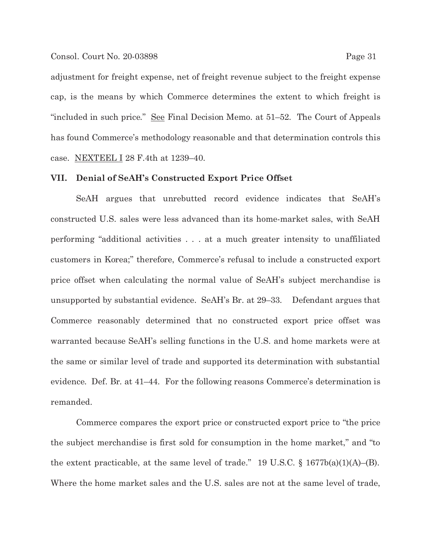#### Consol. Court No. 20-03898 Page 31

adjustment for freight expense, net of freight revenue subject to the freight expense cap, is the means by which Commerce determines the extent to which freight is "included in such price." See Final Decision Memo. at 51–52. The Court of Appeals has found Commerce's methodology reasonable and that determination controls this case. NEXTEEL I 28 F.4th at 1239–40.

### **VII. Denial of SeAH's Constructed Export Price Offset**

SeAH argues that unrebutted record evidence indicates that SeAH's constructed U.S. sales were less advanced than its home-market sales, with SeAH performing "additional activities . . . at a much greater intensity to unaffiliated customers in Korea;" therefore, Commerce's refusal to include a constructed export price offset when calculating the normal value of SeAH's subject merchandise is unsupported by substantial evidence. SeAH's Br. at 29–33. Defendant argues that Commerce reasonably determined that no constructed export price offset was warranted because SeAH's selling functions in the U.S. and home markets were at the same or similar level of trade and supported its determination with substantial evidence. Def. Br. at 41–44. For the following reasons Commerce's determination is remanded.

 Commerce compares the export price or constructed export price to "the price the subject merchandise is first sold for consumption in the home market," and "to the extent practicable, at the same level of trade." 19 U.S.C.  $\S$  1677b(a)(1)(A)–(B). Where the home market sales and the U.S. sales are not at the same level of trade,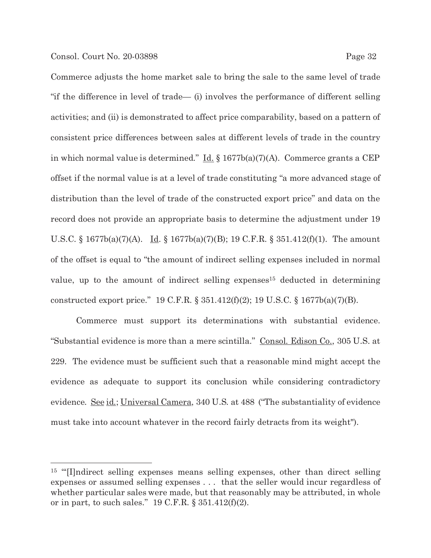Commerce adjusts the home market sale to bring the sale to the same level of trade "if the difference in level of trade— (i) involves the performance of different selling activities; and (ii) is demonstrated to affect price comparability, based on a pattern of consistent price differences between sales at different levels of trade in the country in which normal value is determined." <u>Id.</u>  $\frac{1}{2}$  1677b(a)(7)(A). Commerce grants a CEP offset if the normal value is at a level of trade constituting "a more advanced stage of distribution than the level of trade of the constructed export price" and data on the record does not provide an appropriate basis to determine the adjustment under 19 U.S.C. § 1677b(a)(7)(A). <u>Id</u>. § 1677b(a)(7)(B); 19 C.F.R. § 351.412(f)(1). The amount of the offset is equal to "the amount of indirect selling expenses included in normal value, up to the amount of indirect selling expenses<sup>15</sup> deducted in determining constructed export price." 19 C.F.R. § 351.412(f)(2); 19 U.S.C. § 1677b(a)(7)(B).

 Commerce must support its determinations with substantial evidence. "Substantial evidence is more than a mere scintilla." Consol. Edison Co., 305 U.S. at 229. The evidence must be sufficient such that a reasonable mind might accept the evidence as adequate to support its conclusion while considering contradictory evidence. <u>See id.; Universal Camera</u>, 340 U.S. at 488 ("The substantiality of evidence must take into account whatever in the record fairly detracts from its weight").

<sup>&</sup>lt;sup>15</sup> "I]ndirect selling expenses means selling expenses, other than direct selling expenses or assumed selling expenses . . . that the seller would incur regardless of whether particular sales were made, but that reasonably may be attributed, in whole or in part, to such sales." 19 C.F.R.  $\S 351.412(f)(2)$ .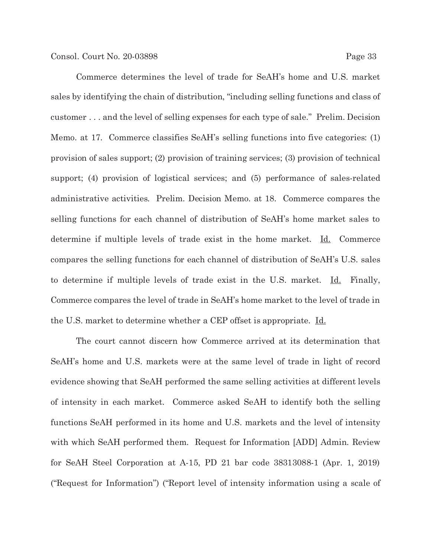Commerce determines the level of trade for SeAH's home and U.S. market sales by identifying the chain of distribution, "including selling functions and class of customer . . . and the level of selling expenses for each type of sale." Prelim. Decision Memo. at 17. Commerce classifies SeAH's selling functions into five categories: (1) provision of sales support; (2) provision of training services; (3) provision of technical support; (4) provision of logistical services; and (5) performance of sales-related administrative activities. Prelim. Decision Memo. at 18. Commerce compares the selling functions for each channel of distribution of SeAH's home market sales to determine if multiple levels of trade exist in the home market. Id. Commerce compares the selling functions for each channel of distribution of SeAH's U.S. sales to determine if multiple levels of trade exist in the U.S. market. Id. Finally, Commerce compares the level of trade in SeAH's home market to the level of trade in the U.S. market to determine whether a CEP offset is appropriate. Id.

 The court cannot discern how Commerce arrived at its determination that SeAH's home and U.S. markets were at the same level of trade in light of record evidence showing that SeAH performed the same selling activities at different levels of intensity in each market. Commerce asked SeAH to identify both the selling functions SeAH performed in its home and U.S. markets and the level of intensity with which SeAH performed them. Request for Information [ADD] Admin. Review for SeAH Steel Corporation at A-15, PD 21 bar code 38313088-1 (Apr. 1, 2019) ("Request for Information") ("Report level of intensity information using a scale of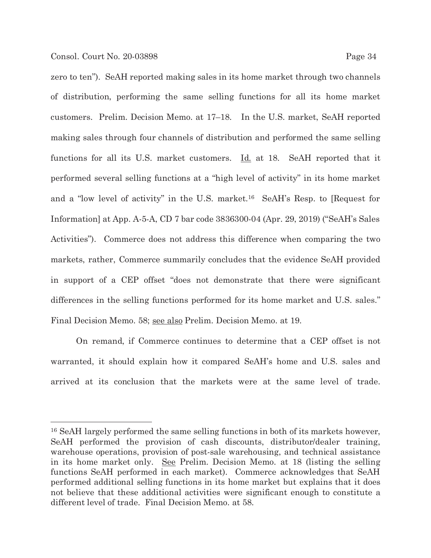zero to ten"). SeAH reported making sales in its home market through two channels of distribution, performing the same selling functions for all its home market customers. Prelim. Decision Memo. at 17–18. In the U.S. market, SeAH reported making sales through four channels of distribution and performed the same selling functions for all its U.S. market customers.  $\underline{Id}$  at 18. SeAH reported that it performed several selling functions at a "high level of activity" in its home market and a "low level of activity" in the U.S. market.16 SeAH's Resp. to [Request for Information] at App. A-5-A, CD 7 bar code 3836300-04 (Apr. 29, 2019) ("SeAH's Sales Activities"). Commerce does not address this difference when comparing the two markets, rather, Commerce summarily concludes that the evidence SeAH provided in support of a CEP offset "does not demonstrate that there were significant differences in the selling functions performed for its home market and U.S. sales." Final Decision Memo. 58; see also Prelim. Decision Memo. at 19.

 On remand, if Commerce continues to determine that a CEP offset is not warranted, it should explain how it compared SeAH's home and U.S. sales and arrived at its conclusion that the markets were at the same level of trade.

<sup>16</sup> SeAH largely performed the same selling functions in both of its markets however, SeAH performed the provision of cash discounts, distributor/dealer training, warehouse operations, provision of post-sale warehousing, and technical assistance in its home market only. See Prelim. Decision Memo. at 18 (listing the selling functions SeAH performed in each market). Commerce acknowledges that SeAH performed additional selling functions in its home market but explains that it does not believe that these additional activities were significant enough to constitute a different level of trade. Final Decision Memo. at 58.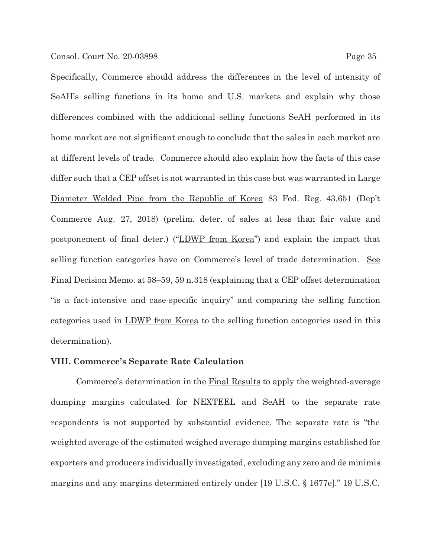Specifically, Commerce should address the differences in the level of intensity of SeAH's selling functions in its home and U.S. markets and explain why those differences combined with the additional selling functions SeAH performed in its home market are not significant enough to conclude that the sales in each market are at different levels of trade. Commerce should also explain how the facts of this case differ such that a CEP offset is not warranted in this case but was warranted in Large Diameter Welded Pipe from the Republic of Korea 83 Fed. Reg. 43,651 (Dep't Commerce Aug. 27, 2018) (prelim. deter. of sales at less than fair value and postponement of final deter.) ("LDWP from Korea") and explain the impact that selling function categories have on Commerce's level of trade determination. See Final Decision Memo. at 58–59, 59 n.318 (explaining that a CEP offset determination "is a fact-intensive and case-specific inquiry" and comparing the selling function categories used in LDWP from Korea to the selling function categories used in this determination).

# **VIII. Commerce's Separate Rate Calculation**

Commerce's determination in the Final Results to apply the weighted-average dumping margins calculated for NEXTEEL and SeAH to the separate rate respondents is not supported by substantial evidence. The separate rate is "the weighted average of the estimated weighed average dumping margins established for exporters and producers individually investigated, excluding any zero and de minimis margins and any margins determined entirely under [19 U.S.C. § 1677e]." 19 U.S.C.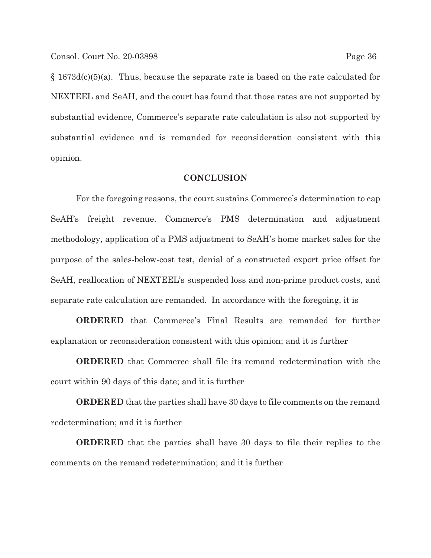§ 1673d(c)(5)(a). Thus, because the separate rate is based on the rate calculated for NEXTEEL and SeAH, and the court has found that those rates are not supported by substantial evidence, Commerce's separate rate calculation is also not supported by substantial evidence and is remanded for reconsideration consistent with this opinion.

## **CONCLUSION**

 For the foregoing reasons, the court sustains Commerce's determination to cap SeAH's freight revenue. Commerce's PMS determination and adjustment methodology, application of a PMS adjustment to SeAH's home market sales for the purpose of the sales-below-cost test, denial of a constructed export price offset for SeAH, reallocation of NEXTEEL's suspended loss and non-prime product costs, and separate rate calculation are remanded. In accordance with the foregoing, it is

**ORDERED** that Commerce's Final Results are remanded for further explanation or reconsideration consistent with this opinion; and it is further

**ORDERED** that Commerce shall file its remand redetermination with the court within 90 days of this date; and it is further

**ORDERED** that the parties shall have 30 days to file comments on the remand redetermination; and it is further

**ORDERED** that the parties shall have 30 days to file their replies to the comments on the remand redetermination; and it is further